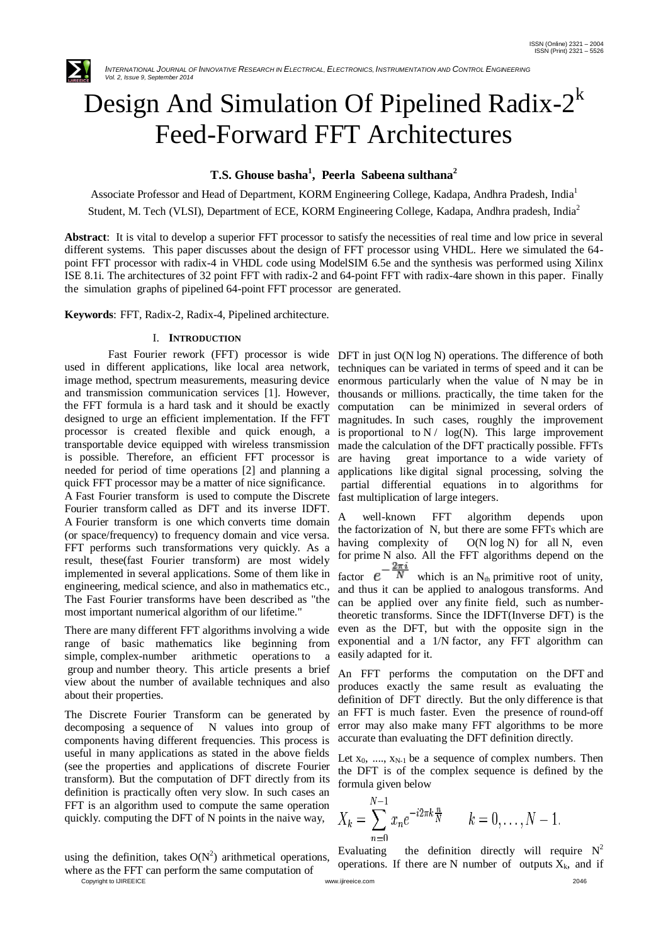

# Design And Simulation Of Pipelined Radix- $2^k$ Feed-Forward FFT Architectures

# **T.S. Ghouse basha<sup>1</sup> , Peerla Sabeena sulthana<sup>2</sup>**

Associate Professor and Head of Department, KORM Engineering College, Kadapa, Andhra Pradesh, India<sup>1</sup> Student, M. Tech (VLSI), Department of ECE, KORM Engineering College, Kadapa, Andhra pradesh, India<sup>2</sup>

**Abstract**: It is vital to develop a superior FFT processor to satisfy the necessities of real time and low price in several different systems. This paper discusses about the design of FFT processor using VHDL. Here we simulated the 64 point FFT processor with radix-4 in VHDL code using ModelSIM 6.5e and the synthesis was performed using Xilinx ISE 8.1i. The architectures of 32 point FFT with radix-2 and 64-point FFT with radix-4are shown in this paper. Finally the simulation graphs of pipelined 64-point FFT processor are generated.

**Keywords**: FFT, Radix-2, Radix-4, Pipelined architecture.

#### I. **INTRODUCTION**

used in different applications, like local area network, image method, spectrum measurements, measuring device and transmission communication services [1]. However, the FFT formula is a hard task and it should be exactly designed to urge an efficient implementation. If the FFT processor is created flexible and quick enough, a transportable device equipped with wireless transmission is possible. Therefore, an efficient FFT processor is needed for period of time operations [2] and planning a quick FFT processor may be a matter of nice significance. A Fast Fourier transform is used to compute the Discrete Fourier transform called as DFT and its inverse IDFT. A Fourier transform is one which converts time domain (or space/frequency) to frequency domain and vice versa. FFT performs such transformations very quickly. As a result, these(fast Fourier transform) are most widely implemented in several applications. Some of them like in engineering, medical science, and also in mathematics etc., The Fast Fourier transforms have been described as "the most important numerical algorithm of our lifetime."

There are many different FFT algorithms involving a wide range of basic mathematics like beginning from simple, complex-number arithmetic operations to a group and number theory. This article presents a brief view about the number of available techniques and also about their properties.

The Discrete Fourier Transform can be generated by decomposing a sequence of N values into group of components having different frequencies. This process is useful in many applications as stated in the above fields (see the properties and applications of discrete Fourier transform). But the computation of DFT directly from its definition is practically often very slow. In such cases an FFT is an algorithm used to compute the same operation quickly. computing the DFT of N points in the naive way,

Copyright to IJIREEICE [www.ijireeice.com](http://www.ijireeice.com/) 2046 using the definition, takes  $O(N^2)$  arithmetical operations, where as the FFT can perform the same computation of

Fast Fourier rework (FFT) processor is wide DFT in just O(N log N) operations. The difference of both techniques can be variated in terms of speed and it can be enormous particularly when the value of N may be in thousands or millions. practically, the time taken for the computation can be minimized in several orders of magnitudes. In such cases, roughly the improvement is proportional to  $N / \log(N)$ . This large improvement made the calculation of the DFT practically possible. FFTs are having great importance to a wide variety of applications like digital signal processing, solving the partial differential equations in to algorithms for fast multiplication of large integers.

> A well-known FFT algorithm depends upon the factorization of N, but there are some FFTs which are having complexity of O(N log N) for all N, even for prime N also. All the FFT algorithms depend on the factor  $e^{-\frac{2\pi i}{N}}$  which is an N<sub>th</sub> primitive root of unity, and thus it can be applied to analogous transforms. And can be applied over any finite field, such as numbertheoretic transforms. Since the IDFT(Inverse DFT) is the even as the DFT, but with the opposite sign in the exponential and a 1/N factor, any FFT algorithm can easily adapted for it.

> An FFT performs the computation on the DFT and produces exactly the same result as evaluating the definition of DFT directly. But the only difference is that an FFT is much faster. Even the presence of round-off error may also make many FFT algorithms to be more accurate than evaluating the DFT definition directly.

> Let  $x_0$ , ...,  $x_{N-1}$  be a sequence of complex numbers. Then the DFT is of the complex sequence is defined by the formula given below

$$
X_k = \sum_{n=0}^{N-1} x_n e^{-i2\pi k \frac{n}{N}} \qquad k = 0, \dots, N-1.
$$

Evaluating the definition directly will require  $N^2$ operations. If there are N number of outputs  $X_k$ , and if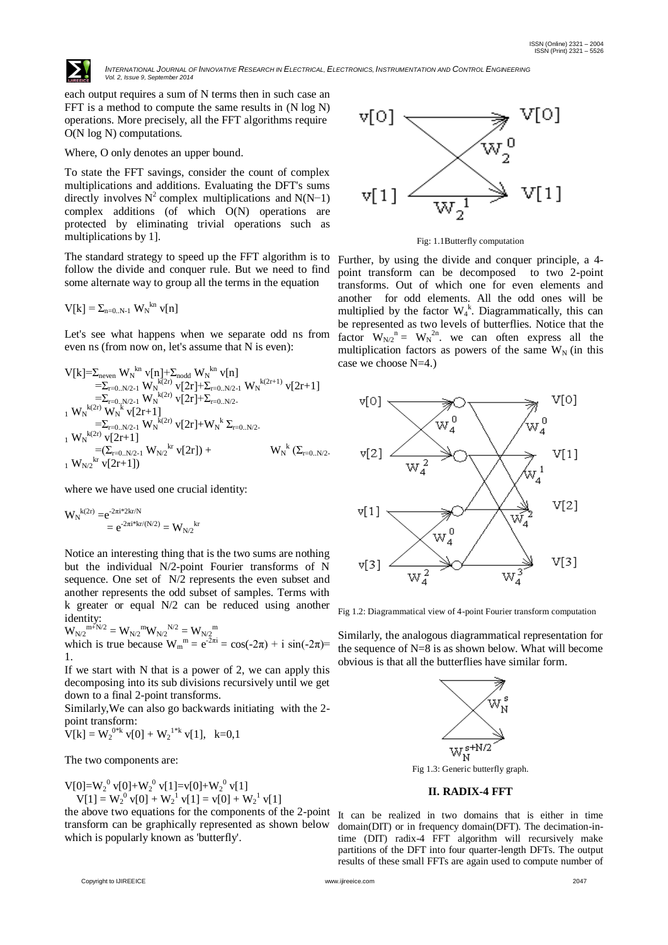

INTERNATIONAL JOURNAL OF INNOVATIVE RESEARCH IN ELECTRICAL, ELECTRONICS, INSTRUMENTATION AND CONTROL ENGINEERING *Vol. 2, Issue 9, September 2014*

each output requires a sum of N terms then in such case an FFT is a method to compute the same results in (N log N) operations. More precisely, all the FFT algorithms require O(N log N) computations.

#### Where, O only denotes an upper bound.

To state the FFT savings, consider the count of complex multiplications and additions. Evaluating the DFT's sums directly involves  $N^2$  complex multiplications and N(N-1) complex additions (of which O(N) operations are protected by eliminating trivial operations such as multiplications by 1].

The standard strategy to speed up the FFT algorithm is to follow the divide and conquer rule. But we need to find some alternate way to group all the terms in the equation

$$
V[k] = \Sigma_{n=0..N-1} W_N^{kn} v[n]
$$

Let's see what happens when we separate odd ns from even ns (from now on, let's assume that N is even):

V[k]=Σneven W<sup>N</sup> kn v[n]+Σnodd W<sup>N</sup> kn v[n] =Σr=0..N/2-1 W<sup>N</sup> k(2r) v[2r]+Σr=0..N/2-1 W<sup>N</sup> k(2r+1) v[2r+1] =Σr=0..N/2-1 W<sup>N</sup> k(2r) v[2r]+Σr=0..N/2- <sup>1</sup> W<sup>N</sup> k(2r) W<sup>N</sup> k v[2r+1] =Σr=0..N/2-1 W<sup>N</sup> k(2r) v[2r]+W<sup>N</sup> k Σr=0..N/2- <sup>1</sup> W<sup>N</sup> k(2r) v[2r+1] =(Σr=0..N/2-1 WN/2 kr v[2r]) + W<sup>N</sup> k (Σr=0..N/2- <sup>1</sup> WN/2 kr v[2r+1])

where we have used one crucial identity:

$$
W_N^{\phantom{k}(2r)} = \! e^{ \! - \! 2 \pi i^* 2 k r / N \! } \! \! = \! e^{ \! - \! 2 \pi i^* k r / (N/2)} \! = W_{N/2}^{\phantom{N/2} kr}
$$

Notice an interesting thing that is the two sums are nothing but the individual N/2-point Fourier transforms of N sequence. One set of N/2 represents the even subset and another represents the odd subset of samples. Terms with k greater or equal N/2 can be reduced using another identity:

 $\rm{W_{N/2}}^{m+N/2}=\rm{W_{N/2}}^{m} \rm{W_{N/2}}^{N/2}=\rm{W_{N/2}}^{m}$ which is true because  $W_m^m = e^{-2\pi i} = \cos(-2\pi) + i \sin(-2\pi) =$ 1.

If we start with N that is a power of 2, we can apply this decomposing into its sub divisions recursively until we get down to a final 2-point transforms.

Similarly,We can also go backwards initiating with the 2 point transform:

 $V[k] = W_2^{0*k} v[0] + W_2^{1*k} v[1], k=0,1$ 

The two components are:

 $V[0]=W_2^0 V[0]+W_2^0 V[1]=V[0]+W_2^0 V[1]$ 

 $V[1] = W_2^{0} v[0] + W_2^{1} v[1] = v[0] + W_2^{1} v[1]$ 

the above two equations for the components of the 2-point transform can be graphically represented as shown below which is popularly known as 'butterfly'.



Fig: 1.1Butterfly computation

Further, by using the divide and conquer principle, a 4 point transform can be decomposed to two 2-point transforms. Out of which one for even elements and another for odd elements. All the odd ones will be multiplied by the factor  $W_4^k$ . Diagrammatically, this can be represented as two levels of butterflies. Notice that the factor  $W_{N/2}$ <sup>n</sup> =  $W_N$ <sup>2n</sup>. we can often express all the multiplication factors as powers of the same  $W_N$  (in this case we choose N=4.)



Fig 1.2: Diagrammatical view of 4-point Fourier transform computation

Similarly, the analogous diagrammatical representation for the sequence of N=8 is as shown below. What will become obvious is that all the butterflies have similar form.



Fig 1.3: Generic butterfly graph.

# **II. RADIX-4 FFT**

It can be realized in two domains that is either in time domain(DIT) or in frequency domain(DFT). The decimation-intime (DIT) radix-4 FFT algorithm will recursively make partitions of the DFT into four quarter-length DFTs. The output results of these small FFTs are again used to compute number of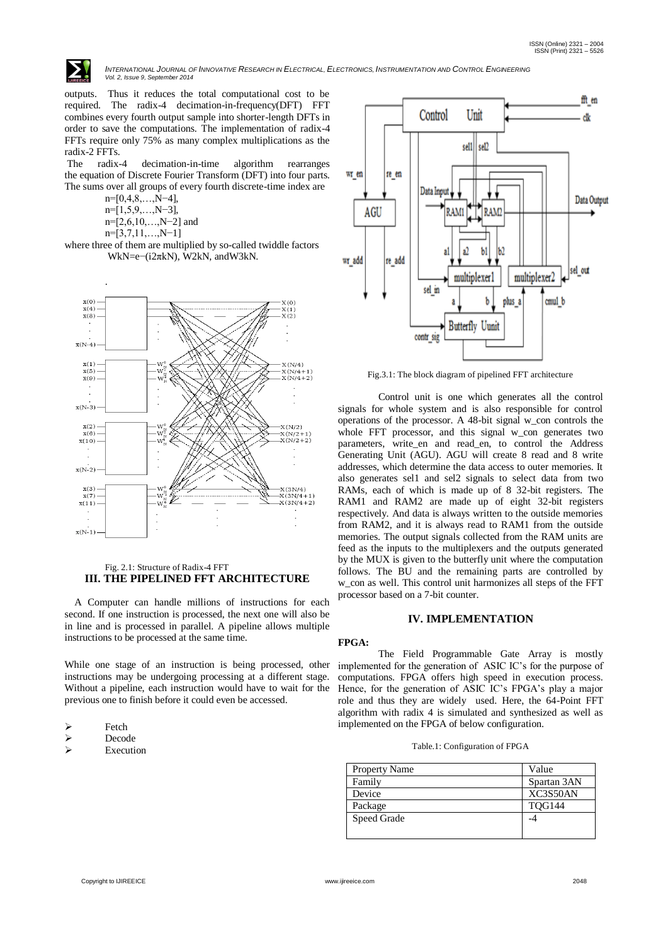

INTERNATIONAL JOURNAL OF INNOVATIVE RESEARCH IN ELECTRICAL, ELECTRONICS, INSTRUMENTATION AND CONTROL ENGINEERING *Vol. 2, Issue 9, September 2014*

outputs. Thus it reduces the total computational cost to be required. The radix-4 decimation-in-frequency(DFT) FFT combines every fourth output sample into shorter-length DFTs in order to save the computations. The implementation of radix-4 FFTs require only 75% as many complex multiplications as the radix-2 FFTs.

The radix-4 decimation-in-time algorithm rearranges the equation of Discrete Fourier Transform (DFT) into four parts. The sums over all groups of every fourth discrete-time index are

- n=[0,4,8,…,N−4], n=[1,5,9,…,N−3],
- n=[2,6,10,…,N−2] and
- n=[3,7,11,…,N−1]

where three of them are multiplied by so-called twiddle factors WkN=e−(i2πkN), W2kN, andW3kN.



#### Fig. 2.1: Structure of Radix-4 FFT **III. THE PIPELINED FFT ARCHITECTURE**

 A Computer can handle millions of instructions for each second. If one instruction is processed, the next one will also be in line and is processed in parallel. A pipeline allows multiple instructions to be processed at the same time.

While one stage of an instruction is being processed, other instructions may be undergoing processing at a different stage. Without a pipeline, each instruction would have to wait for the previous one to finish before it could even be accessed.

- Decode
- Execution



Fig.3.1: The block diagram of pipelined FFT architecture

Control unit is one which generates all the control signals for whole system and is also responsible for control operations of the processor. A 48-bit signal w\_con controls the whole FFT processor, and this signal w\_con generates two parameters, write\_en and read\_en, to control the Address Generating Unit (AGU). AGU will create 8 read and 8 write addresses, which determine the data access to outer memories. It also generates sel1 and sel2 signals to select data from two RAMs, each of which is made up of 8 32-bit registers. The RAM1 and RAM2 are made up of eight 32-bit registers respectively. And data is always written to the outside memories from RAM2, and it is always read to RAM1 from the outside memories. The output signals collected from the RAM units are feed as the inputs to the multiplexers and the outputs generated by the MUX is given to the butterfly unit where the computation follows. The BU and the remaining parts are controlled by w con as well. This control unit harmonizes all steps of the FFT processor based on a 7-bit counter.

#### **IV. IMPLEMENTATION**

#### **FPGA:**

The Field Programmable Gate Array is mostly implemented for the generation of ASIC IC's for the purpose of computations. FPGA offers high speed in execution process. Hence, for the generation of ASIC IC's FPGA's play a major role and thus they are widely used. Here, the 64-Point FFT algorithm with radix 4 is simulated and synthesized as well as implemented on the FPGA of below configuration.

| Property Name | Value         |
|---------------|---------------|
| Family        | Spartan 3AN   |
| Device        | XC3S50AN      |
| Package       | <b>TOG144</b> |
| Speed Grade   |               |
|               |               |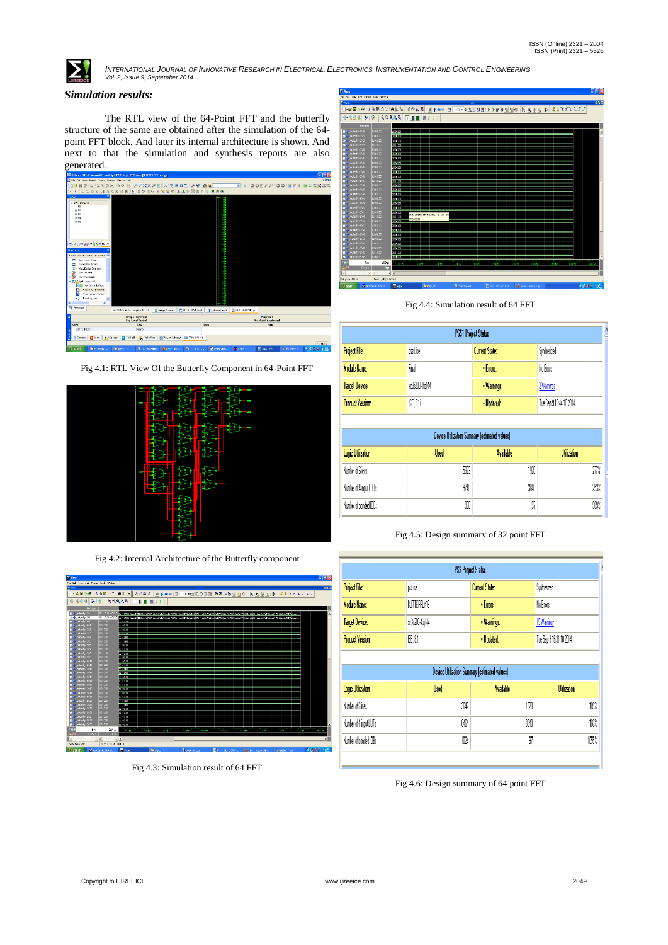

INTERNATIONAL JOURNAL OF INNOVATIVE RESEARCH IN ELECTRICAL, ELECTRONICS, INSTRUMENTATION AND CONTROL ENGINEERING<br>Vol. 2, Issue 9, September 2014

## *Simulation results:*

The RTL view of the 64-Point FFT and the butterfly structure of the same are obtained after the simulation of the 64 point FFT block. And later its internal architecture is shown. And next to that the simulation and synthesis reports are also generated.







Fig 4.2: Internal Architecture of the Butterfly component



Fig 4.3: Simulation result of 64 FFT



Fig 4.4: Simulation result of 64 FFT

| <b>PSS1 Project Status</b> |               |                       |                        |  |
|----------------------------|---------------|-----------------------|------------------------|--|
| <b>Project File:</b>       | ost ise       | <b>Current State:</b> | Synhesized             |  |
| Module Name:               | Fnal          | • Errors:             | No Enors               |  |
| Target Device:             | xc3s2004to144 | · Warnings:           | 2 Warrings             |  |
| <b>Product Version:</b>    | ISE 811       | · IIndated            | Tue Sen 916:44:16 2014 |  |

| Device Utilization Summary (estimated values) |      |                  |                    |  |  |
|-----------------------------------------------|------|------------------|--------------------|--|--|
| Logic Utilization                             | Used | <b>Available</b> | <b>Utilization</b> |  |  |
| Number of Slices                              | 5323 | 1920             | 277%               |  |  |
| Number of 4 input LUTs                        | 9740 | 3340             | 253%               |  |  |
| Number of bonded IOBs                         | 90   | 97               | 989%               |  |  |

Fig 4.5: Design summary of 32 point FFT

|                                              |                           | <b>PSS Project Status</b>                                                |                         |  |
|----------------------------------------------|---------------------------|--------------------------------------------------------------------------|-------------------------|--|
| Project File:                                | Current State:<br>DIS.ISE |                                                                          | Synthesized             |  |
| Module Name:                                 | BUTTERFLY16               | • Errors:                                                                | No Enors                |  |
| <b>Target Device:</b>                        | xc3s200-4tg144            | · Warnings:                                                              | 15 Warrings             |  |
| <b>Product Version:</b>                      | ISE. 8.1i                 | · Updated:                                                               | Tue Sep 9 16:31:10 2014 |  |
|                                              |                           |                                                                          |                         |  |
|                                              | Used                      | <b>Device Utilization Summary (estimated values)</b><br><b>Available</b> | Utilization             |  |
| <b>Logic Utilization</b><br>Number of Slices |                           | 3642                                                                     | 180%<br>1920            |  |
| Number of 4 input LUTs                       |                           | 6464                                                                     | 168%<br>3840            |  |

Fig 4.6: Design summary of 64 point FFT